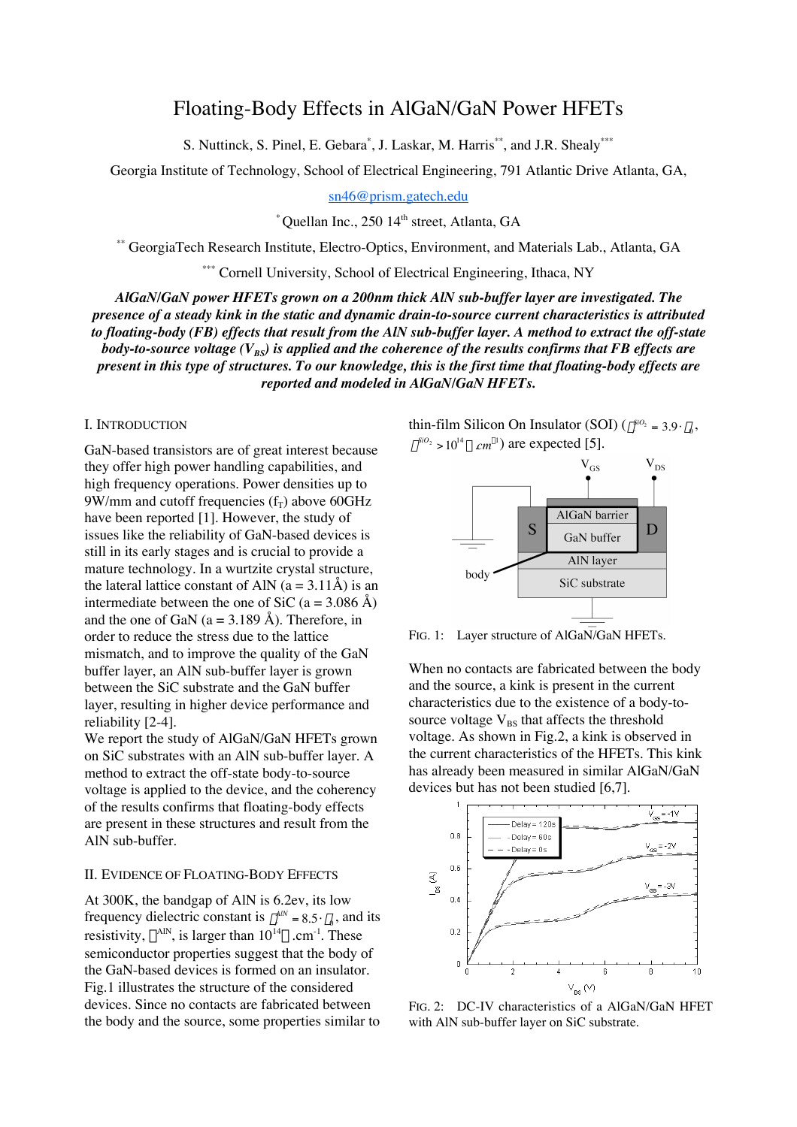# Floating-Body Effects in AlGaN/GaN Power HFETs

S. Nuttinck, S. Pinel, E. Gebara\*, J. Laskar, M. Harris\*\*, and J.R. Shealy\*\*\*

Georgia Institute of Technology, School of Electrical Engineering, 791 Atlantic Drive Atlanta, GA,

sn46@prism.gatech.edu

 $*$  Ouellan Inc., 250 14<sup>th</sup> street, Atlanta, GA

\*\* GeorgiaTech Research Institute, Electro-Optics, Environment, and Materials Lab., Atlanta, GA

\*\*\* Cornell University, School of Electrical Engineering, Ithaca, NY

*AlGaN/GaN power HFETs grown on a 200nm thick AlN sub-buffer layer are investigated. The presence of a steady kink in the static and dynamic drain-to-source current characteristics is attributed to floating-body (FB) effects that result from the AlN sub-buffer layer. A method to extract the off-state body-to-source voltage (V<sub>BS</sub>) is applied and the coherence of the results confirms that FB effects are present in this type of structures. To our knowledge, this is the first time that floating-body effects are reported and modeled in AlGaN/GaN HFETs.*

## I. INTRODUCTION

GaN-based transistors are of great interest because they offer high power handling capabilities, and high frequency operations. Power densities up to 9W/mm and cutoff frequencies  $(f_T)$  above 60GHz have been reported [1]. However, the study of issues like the reliability of GaN-based devices is still in its early stages and is crucial to provide a mature technology. In a wurtzite crystal structure, the lateral lattice constant of AlN  $(a = 3.11\text{\AA})$  is an intermediate between the one of SiC (a = 3.086 Å) and the one of GaN ( $a = 3.189$  Å). Therefore, in order to reduce the stress due to the lattice mismatch, and to improve the quality of the GaN buffer layer, an AlN sub-buffer layer is grown between the SiC substrate and the GaN buffer layer, resulting in higher device performance and reliability [2-4].

We report the study of AlGaN/GaN HFETs grown on SiC substrates with an AlN sub-buffer layer. A method to extract the off-state body-to-source voltage is applied to the device, and the coherency of the results confirms that floating-body effects are present in these structures and result from the † AlN sub-buffer.

## II. EVIDENCE OF FLOATING-BODY EFFECTS

At 300K, the bandgap of AlN is 6.2ev, its low frequency dielectric constant is  $\varepsilon_r^{AlN} = 8.5 \cdot \varepsilon_0$ , and its resistivity,  $\rho^{AIN}$ , is larger than  $10^{14} \Omega.cm^{-1}$ . These semiconductor properties suggest that the body of the GaN-based devices is formed on an insulator. Fig.1 illustrates the structure of the considered devices. Since no contacts are fabricated between the body and the source, some properties similar to thin-film Silicon On Insulator (SOI)  $(\varepsilon_r^{sio_2} = 3.9 \cdot \varepsilon_0,$  $\rho^{SiO_2} > 10^{14} \,\Omega \, \text{cm}^{-1}$  are expected [5].



FIG. 1: Layer structure of AlGaN/GaN HFETs.

When no contacts are fabricated between the body and the source, a kink is present in the current characteristics due to the existence of a body-tosource voltage  $V_{BS}$  that affects the threshold voltage. As shown in Fig.2, a kink is observed in the current characteristics of the HFETs. This kink has already been measured in similar AlGaN/GaN devices but has not been studied [6,7].



FIG. 2: DC-IV characteristics of a AlGaN/GaN HFET with AlN sub-buffer layer on SiC substrate.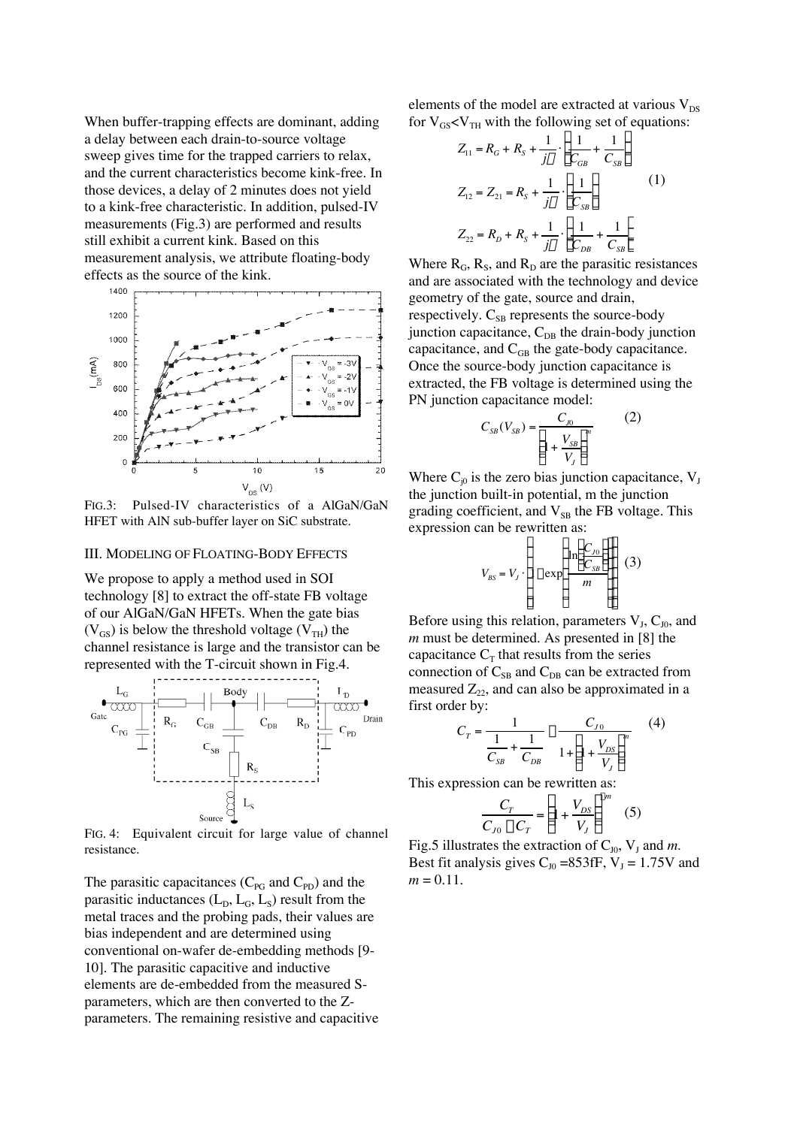When buffer-trapping effects are dominant, adding a delay between each drain-to-source voltage sweep gives time for the trapped carriers to relax, and the current characteristics become kink-free. In those devices, a delay of 2 minutes does not yield to a kink-free characteristic. In addition, pulsed-IV measurements (Fig.3) are performed and results still exhibit a current kink. Based on this measurement analysis, we attribute floating-body effects as the source of the kink.



Pulsed-IV characteristics of a AlGaN/GaN  $Fig.3:$ HFET with AlN sub-buffer layer on SiC substrate.

#### **III. MODELING OF FLOATING-BODY EFFECTS**

We propose to apply a method used in SOI technology [8] to extract the off-state FB voltage of our AlGaN/GaN HFETs. When the gate bias  $(V_{GS})$  is below the threshold voltage  $(V_{TH})$  the channel resistance is large and the transistor can be represented with the T-circuit shown in Fig.4.



FIG. 4: Equivalent circuit for large value of channel resistance.

The parasitic capacitances  $(C_{PG}$  and  $C_{PD}$ ) and the parasitic inductances  $(L<sub>D</sub>, L<sub>G</sub>, L<sub>S</sub>)$  result from the metal traces and the probing pads, their values are bias independent and are determined using conventional on-wafer de-embedding methods [9-10]. The parasitic capacitive and inductive elements are de-embedded from the measured Sparameters, which are then converted to the Zparameters. The remaining resistive and capacitive elements of the model are extracted at various  $V_{DS}$ for  $V_{GS}$ < $V_{TH}$  with the following set of equations:

$$
Z_{11} = R_G + R_S + \frac{1}{j\omega} \cdot \left[ \frac{1}{C_{GB}} + \frac{1}{C_{SB}} \right]
$$
  
\n
$$
Z_{12} = Z_{21} = R_S + \frac{1}{j\omega} \cdot \left[ \frac{1}{C_{SB}} \right]
$$
  
\n
$$
Z_{22} = R_D + R_S + \frac{1}{j\omega} \cdot \left[ \frac{1}{C_{DB}} + \frac{1}{C_{SB}} \right]
$$
  
\n(1)

Where  $R_G$ ,  $R_S$ , and  $R_D$  are the parasitic resistances and are associated with the technology and device geometry of the gate, source and drain, respectively.  $C_{SB}$  represents the source-body junction capacitance,  $C_{DB}$  the drain-body junction capacitance, and  $C_{GB}$  the gate-body capacitance. Once the source-body junction capacitance is extracted, the FB voltage is determined using the PN junction capacitance model:

$$
C_{SB}(V_{SB}) = \frac{C_{J0}}{\left(1 + \frac{V_{SB}}{V}\right)^m}
$$
 (2)

Where  $C_{i0}$  is the zero bias junction capacitance,  $V_{I}$ the junction built-in potential, m the junction grading coefficient, and V<sub>SB</sub> the FB voltage. This expression can be rewritten as:

$$
V_{BS} = V_J \cdot \left| 1 - \exp\left(\frac{\ln\left(\frac{C_{J0}}{C_{SB}}\right)}{m}\right) \right| \tag{3}
$$

Before using this relation, parameters  $V_J$ ,  $C_{J0}$ , and  $m$  must be determined. As presented in [8] the capacitance  $C_T$  that results from the series connection of  $C_{SB}$  and  $C_{DB}$  can be extracted from measured  $Z_{22}$ , and can also be approximated in a first order by:

$$
C_T = \frac{1}{\frac{1}{C_{SB}} + \frac{1}{C_{DB}}} \approx \frac{C_{J0}}{1 + \left(1 + \frac{V_{DS}}{V_J}\right)^m}
$$
(4)

This expression can be rewritten as:

$$
\frac{C_T}{C_{J0} - C_T} = \left(1 + \frac{V_{DS}}{V_J}\right)^{-m} \quad (5)
$$

Fig.5 illustrates the extraction of  $C_{10}$ ,  $V_1$  and m. Best fit analysis gives  $C_{10}$  =853fF,  $V_1$  = 1.75V and  $m = 0.11$ .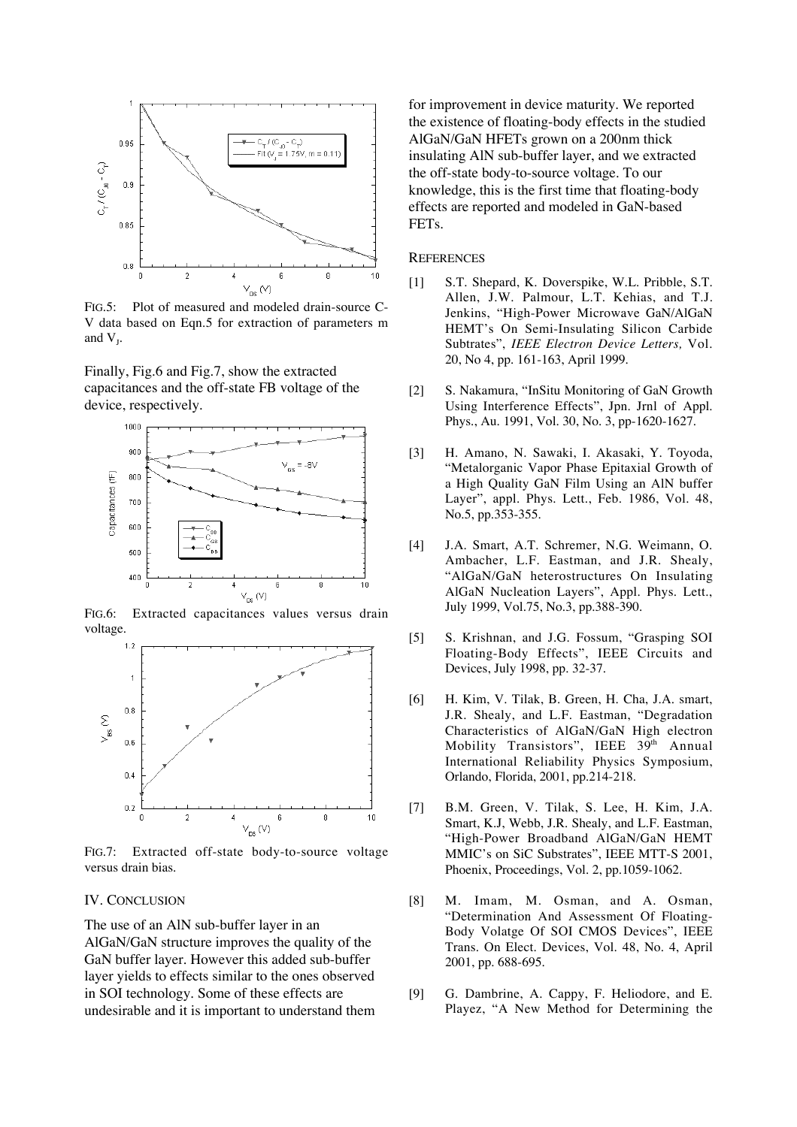

FIG.5: Plot of measured and modeled drain-source C-V data based on Eqn.5 for extraction of parameters m and  $V<sub>L</sub>$ .

Finally, Fig.6 and Fig.7, show the extracted capacitances and the off-state FB voltage of the device, respectively.



FIG.6: Extracted capacitances values versus drain voltage.



FIG.7: Extracted off-state body-to-source voltage versus drain bias.

## IV. CONCLUSION

The use of an AlN sub-buffer layer in an AlGaN/GaN structure improves the quality of the GaN buffer layer. However this added sub-buffer layer yields to effects similar to the ones observed in SOI technology. Some of these effects are undesirable and it is important to understand them

for improvement in device maturity. We reported the existence of floating-body effects in the studied AlGaN/GaN HFETs grown on a 200nm thick insulating AlN sub-buffer layer, and we extracted the off-state body-to-source voltage. To our knowledge, this is the first time that floating-body effects are reported and modeled in GaN-based FETs.

### **REFERENCES**

- [1] S.T. Shepard, K. Doverspike, W.L. Pribble, S.T. Allen, J.W. Palmour, L.T. Kehias, and T.J. Jenkins, "High-Power Microwave GaN/AlGaN HEMT's On Semi-Insulating Silicon Carbide Subtrates", *IEEE Electron Device Letters,* Vol. 20, No 4, pp. 161-163, April 1999.
- [2] S. Nakamura, "InSitu Monitoring of GaN Growth Using Interference Effects", Jpn. Jrnl of Appl. Phys., Au. 1991, Vol. 30, No. 3, pp-1620-1627.
- [3] H. Amano, N. Sawaki, I. Akasaki, Y. Toyoda, "Metalorganic Vapor Phase Epitaxial Growth of a High Quality GaN Film Using an AlN buffer Layer", appl. Phys. Lett., Feb. 1986, Vol. 48, No.5, pp.353-355.
- [4] J.A. Smart, A.T. Schremer, N.G. Weimann, O. Ambacher, L.F. Eastman, and J.R. Shealy, "AlGaN/GaN heterostructures On Insulating AlGaN Nucleation Layers", Appl. Phys. Lett., July 1999, Vol.75, No.3, pp.388-390.
- [5] S. Krishnan, and J.G. Fossum, "Grasping SOI Floating-Body Effects", IEEE Circuits and Devices, July 1998, pp. 32-37.
- [6] H. Kim, V. Tilak, B. Green, H. Cha, J.A. smart, J.R. Shealy, and L.F. Eastman, "Degradation Characteristics of AlGaN/GaN High electron Mobility Transistors", IEEE 39th Annual International Reliability Physics Symposium, Orlando, Florida, 2001, pp.214-218.
- [7] B.M. Green, V. Tilak, S. Lee, H. Kim, J.A. Smart, K.J, Webb, J.R. Shealy, and L.F. Eastman, "High-Power Broadband AlGaN/GaN HEMT MMIC's on SiC Substrates", IEEE MTT-S 2001, Phoenix, Proceedings, Vol. 2, pp.1059-1062.
- [8] M. Imam, M. Osman, and A. Osman, "Determination And Assessment Of Floating-Body Volatge Of SOI CMOS Devices", IEEE Trans. On Elect. Devices, Vol. 48, No. 4, April 2001, pp. 688-695.
- [9] G. Dambrine, A. Cappy, F. Heliodore, and E. Playez, "A New Method for Determining the